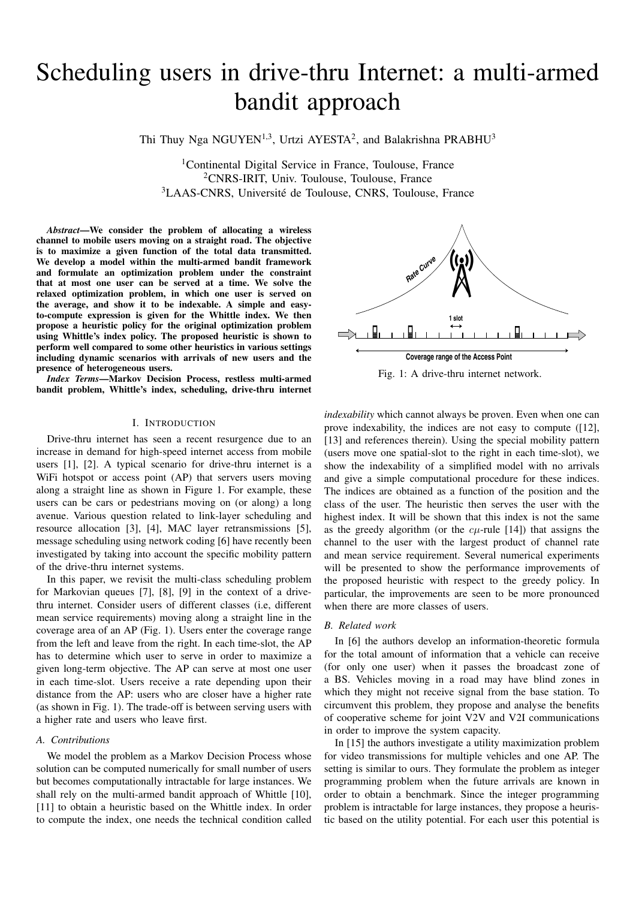# Scheduling users in drive-thru Internet: a multi-armed bandit approach

Thi Thuy Nga NGUYEN<sup>1,3</sup>, Urtzi AYESTA<sup>2</sup>, and Balakrishna PRABHU<sup>3</sup>

<sup>1</sup>Continental Digital Service in France, Toulouse, France <sup>2</sup>CNRS-IRIT, Univ. Toulouse, Toulouse, France <sup>3</sup>LAAS-CNRS, Université de Toulouse, CNRS, Toulouse, France

*Abstract*—We consider the problem of allocating a wireless channel to mobile users moving on a straight road. The objective is to maximize a given function of the total data transmitted. We develop a model within the multi-armed bandit framework and formulate an optimization problem under the constraint that at most one user can be served at a time. We solve the relaxed optimization problem, in which one user is served on the average, and show it to be indexable. A simple and easyto-compute expression is given for the Whittle index. We then propose a heuristic policy for the original optimization problem using Whittle's index policy. The proposed heuristic is shown to perform well compared to some other heuristics in various settings including dynamic scenarios with arrivals of new users and the presence of heterogeneous users.

*Index Terms*—Markov Decision Process, restless multi-armed bandit problem, Whittle's index, scheduling, drive-thru internet

## I. INTRODUCTION

Drive-thru internet has seen a recent resurgence due to an increase in demand for high-speed internet access from mobile users [1], [2]. A typical scenario for drive-thru internet is a WiFi hotspot or access point (AP) that servers users moving along a straight line as shown in Figure 1. For example, these users can be cars or pedestrians moving on (or along) a long avenue. Various question related to link-layer scheduling and resource allocation [3], [4], MAC layer retransmissions [5], message scheduling using network coding [6] have recently been investigated by taking into account the specific mobility pattern of the drive-thru internet systems.

In this paper, we revisit the multi-class scheduling problem for Markovian queues [7], [8], [9] in the context of a drivethru internet. Consider users of different classes (i.e, different mean service requirements) moving along a straight line in the coverage area of an AP (Fig. 1). Users enter the coverage range from the left and leave from the right. In each time-slot, the AP has to determine which user to serve in order to maximize a given long-term objective. The AP can serve at most one user in each time-slot. Users receive a rate depending upon their distance from the AP: users who are closer have a higher rate (as shown in Fig. 1). The trade-off is between serving users with a higher rate and users who leave first.

#### *A. Contributions*

We model the problem as a Markov Decision Process whose solution can be computed numerically for small number of users but becomes computationally intractable for large instances. We shall rely on the multi-armed bandit approach of Whittle [10], [11] to obtain a heuristic based on the Whittle index. In order to compute the index, one needs the technical condition called



Fig. 1: A drive-thru internet network.

*indexability* which cannot always be proven. Even when one can prove indexability, the indices are not easy to compute ([12], [13] and references therein). Using the special mobility pattern (users move one spatial-slot to the right in each time-slot), we show the indexability of a simplified model with no arrivals and give a simple computational procedure for these indices. The indices are obtained as a function of the position and the class of the user. The heuristic then serves the user with the highest index. It will be shown that this index is not the same as the greedy algorithm (or the  $c\mu$ -rule [14]) that assigns the channel to the user with the largest product of channel rate and mean service requirement. Several numerical experiments will be presented to show the performance improvements of the proposed heuristic with respect to the greedy policy. In particular, the improvements are seen to be more pronounced when there are more classes of users.

#### *B. Related work*

In [6] the authors develop an information-theoretic formula for the total amount of information that a vehicle can receive (for only one user) when it passes the broadcast zone of a BS. Vehicles moving in a road may have blind zones in which they might not receive signal from the base station. To circumvent this problem, they propose and analyse the benefits of cooperative scheme for joint V2V and V2I communications in order to improve the system capacity.

In [15] the authors investigate a utility maximization problem for video transmissions for multiple vehicles and one AP. The setting is similar to ours. They formulate the problem as integer programming problem when the future arrivals are known in order to obtain a benchmark. Since the integer programming problem is intractable for large instances, they propose a heuristic based on the utility potential. For each user this potential is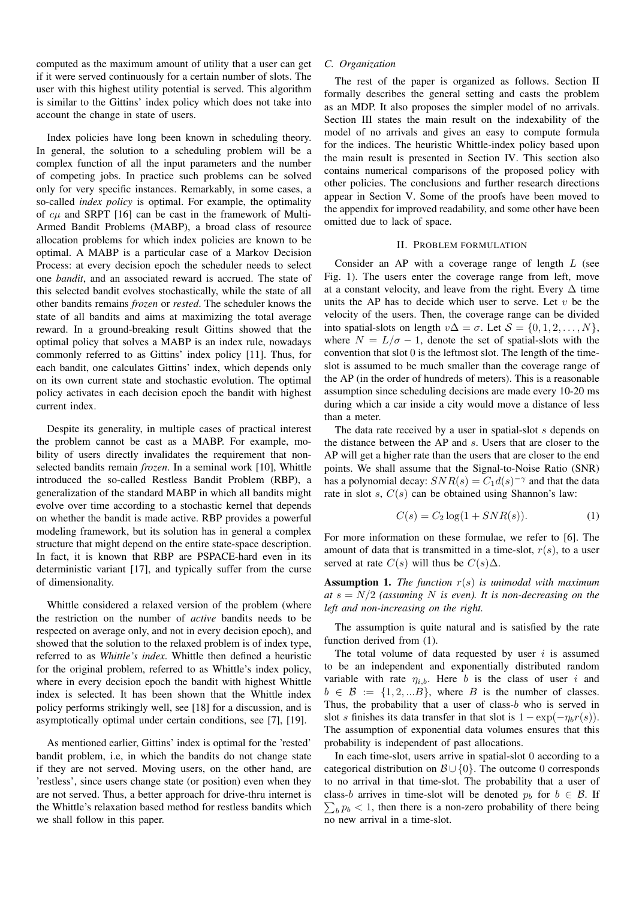computed as the maximum amount of utility that a user can get if it were served continuously for a certain number of slots. The user with this highest utility potential is served. This algorithm is similar to the Gittins' index policy which does not take into account the change in state of users.

Index policies have long been known in scheduling theory. In general, the solution to a scheduling problem will be a complex function of all the input parameters and the number of competing jobs. In practice such problems can be solved only for very specific instances. Remarkably, in some cases, a so-called *index policy* is optimal. For example, the optimality of  $c\mu$  and SRPT [16] can be cast in the framework of Multi-Armed Bandit Problems (MABP), a broad class of resource allocation problems for which index policies are known to be optimal. A MABP is a particular case of a Markov Decision Process: at every decision epoch the scheduler needs to select one *bandit*, and an associated reward is accrued. The state of this selected bandit evolves stochastically, while the state of all other bandits remains *frozen* or *rested*. The scheduler knows the state of all bandits and aims at maximizing the total average reward. In a ground-breaking result Gittins showed that the optimal policy that solves a MABP is an index rule, nowadays commonly referred to as Gittins' index policy [11]. Thus, for each bandit, one calculates Gittins' index, which depends only on its own current state and stochastic evolution. The optimal policy activates in each decision epoch the bandit with highest current index.

Despite its generality, in multiple cases of practical interest the problem cannot be cast as a MABP. For example, mobility of users directly invalidates the requirement that nonselected bandits remain *frozen*. In a seminal work [10], Whittle introduced the so-called Restless Bandit Problem (RBP), a generalization of the standard MABP in which all bandits might evolve over time according to a stochastic kernel that depends on whether the bandit is made active. RBP provides a powerful modeling framework, but its solution has in general a complex structure that might depend on the entire state-space description. In fact, it is known that RBP are PSPACE-hard even in its deterministic variant [17], and typically suffer from the curse of dimensionality.

Whittle considered a relaxed version of the problem (where the restriction on the number of *active* bandits needs to be respected on average only, and not in every decision epoch), and showed that the solution to the relaxed problem is of index type, referred to as *Whittle's index*. Whittle then defined a heuristic for the original problem, referred to as Whittle's index policy, where in every decision epoch the bandit with highest Whittle index is selected. It has been shown that the Whittle index policy performs strikingly well, see [18] for a discussion, and is asymptotically optimal under certain conditions, see [7], [19].

As mentioned earlier, Gittins' index is optimal for the 'rested' bandit problem, i.e, in which the bandits do not change state if they are not served. Moving users, on the other hand, are 'restless', since users change state (or position) even when they are not served. Thus, a better approach for drive-thru internet is the Whittle's relaxation based method for restless bandits which we shall follow in this paper.

## *C. Organization*

The rest of the paper is organized as follows. Section II formally describes the general setting and casts the problem as an MDP. It also proposes the simpler model of no arrivals. Section III states the main result on the indexability of the model of no arrivals and gives an easy to compute formula for the indices. The heuristic Whittle-index policy based upon the main result is presented in Section IV. This section also contains numerical comparisons of the proposed policy with other policies. The conclusions and further research directions appear in Section V. Some of the proofs have been moved to the appendix for improved readability, and some other have been omitted due to lack of space.

## II. PROBLEM FORMULATION

Consider an AP with a coverage range of length  $L$  (see Fig. 1). The users enter the coverage range from left, move at a constant velocity, and leave from the right. Every  $\Delta$  time units the AP has to decide which user to serve. Let  $v$  be the velocity of the users. Then, the coverage range can be divided into spatial-slots on length  $v\Delta = \sigma$ . Let  $S = \{0, 1, 2, ..., N\},\$ where  $N = L/\sigma - 1$ , denote the set of spatial-slots with the convention that slot 0 is the leftmost slot. The length of the timeslot is assumed to be much smaller than the coverage range of the AP (in the order of hundreds of meters). This is a reasonable assumption since scheduling decisions are made every 10-20 ms during which a car inside a city would move a distance of less than a meter.

The data rate received by a user in spatial-slot s depends on the distance between the AP and s. Users that are closer to the AP will get a higher rate than the users that are closer to the end points. We shall assume that the Signal-to-Noise Ratio (SNR) has a polynomial decay:  $SNR(s) = C_1 d(s)^{-\gamma}$  and that the data rate in slot s,  $C(s)$  can be obtained using Shannon's law:

$$
C(s) = C_2 \log(1 + SNR(s)).
$$
\n<sup>(1)</sup>

For more information on these formulae, we refer to [6]. The amount of data that is transmitted in a time-slot,  $r(s)$ , to a user served at rate  $C(s)$  will thus be  $C(s)\Delta$ .

Assumption 1. *The function* r(s) *is unimodal with maximum*  $at s = N/2$  (assuming N is even). It is non-decreasing on the *left and non-increasing on the right.*

The assumption is quite natural and is satisfied by the rate function derived from (1).

The total volume of data requested by user  $i$  is assumed to be an independent and exponentially distributed random variable with rate  $\eta_{i,b}$ . Here b is the class of user i and  $b \in \mathcal{B} := \{1, 2, \ldots B\}$ , where B is the number of classes. Thus, the probability that a user of class-b who is served in slot s finishes its data transfer in that slot is  $1 - \exp(-\eta_b r(s))$ . The assumption of exponential data volumes ensures that this probability is independent of past allocations.

In each time-slot, users arrive in spatial-slot 0 according to a categorical distribution on  $\mathcal{B} \cup \{0\}$ . The outcome 0 corresponds to no arrival in that time-slot. The probability that a user of class-b arrives in time-slot will be denoted  $p_b$  for  $b \in \mathcal{B}$ . If  $\sum_b p_b < 1$ , then there is a non-zero probability of there being no new arrival in a time-slot.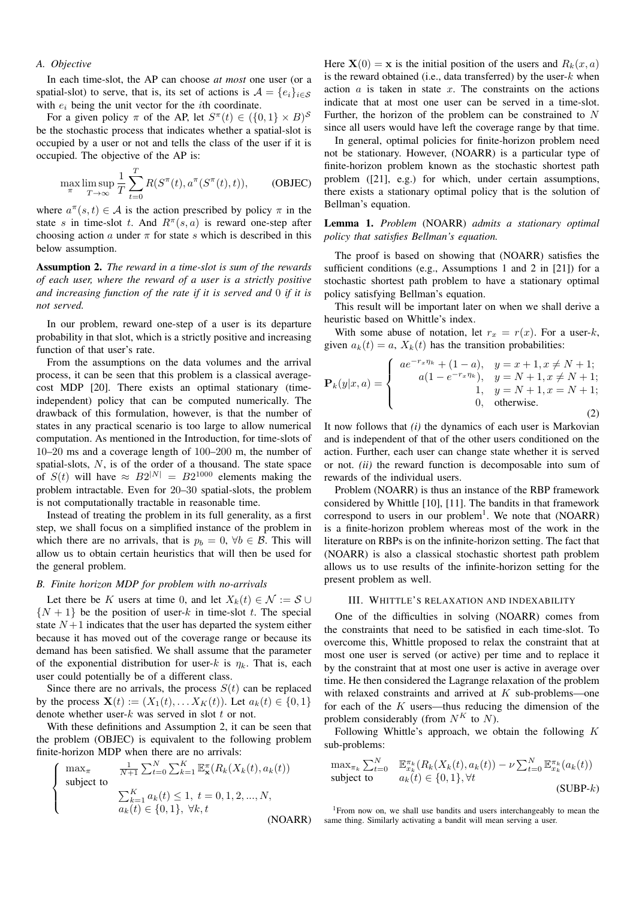## *A. Objective*

In each time-slot, the AP can choose *at most* one user (or a spatial-slot) to serve, that is, its set of actions is  $A = \{e_i\}_{i \in S}$ with  $e_i$  being the unit vector for the *i*th coordinate.

For a given policy  $\pi$  of the AP, let  $S^{\pi}(t) \in (\{0,1\} \times B)^{\mathcal{S}}$ be the stochastic process that indicates whether a spatial-slot is occupied by a user or not and tells the class of the user if it is occupied. The objective of the AP is:

$$
\max_{\pi} \limsup_{T \to \infty} \frac{1}{T} \sum_{t=0}^{T} R(S^{\pi}(t), a^{\pi}(S^{\pi}(t), t)), \quad \text{(OBIEC)}
$$

where  $a^{\pi}(s,t) \in \mathcal{A}$  is the action prescribed by policy  $\pi$  in the state s in time-slot t. And  $R^{\pi}(s, a)$  is reward one-step after choosing action a under  $\pi$  for state s which is described in this below assumption.

Assumption 2. *The reward in a time-slot is sum of the rewards of each user, where the reward of a user is a strictly positive and increasing function of the rate if it is served and* 0 *if it is not served.*

In our problem, reward one-step of a user is its departure probability in that slot, which is a strictly positive and increasing function of that user's rate.

From the assumptions on the data volumes and the arrival process, it can be seen that this problem is a classical averagecost MDP [20]. There exists an optimal stationary (timeindependent) policy that can be computed numerically. The drawback of this formulation, however, is that the number of states in any practical scenario is too large to allow numerical computation. As mentioned in the Introduction, for time-slots of 10–20 ms and a coverage length of 100–200 m, the number of spatial-slots, N, is of the order of a thousand. The state space of  $S(t)$  will have  $\approx B2^{|N|} = B2^{1000}$  elements making the problem intractable. Even for 20–30 spatial-slots, the problem is not computationally tractable in reasonable time.

Instead of treating the problem in its full generality, as a first step, we shall focus on a simplified instance of the problem in which there are no arrivals, that is  $p_b = 0$ ,  $\forall b \in \mathcal{B}$ . This will allow us to obtain certain heuristics that will then be used for the general problem.

## *B. Finite horizon MDP for problem with no-arrivals*

Let there be K users at time 0, and let  $X_k(t) \in \mathcal{N} := \mathcal{S} \cup$  $\{N+1\}$  be the position of user-k in time-slot t. The special state  $N+1$  indicates that the user has departed the system either because it has moved out of the coverage range or because its demand has been satisfied. We shall assume that the parameter of the exponential distribution for user-k is  $\eta_k$ . That is, each user could potentially be of a different class.

Since there are no arrivals, the process  $S(t)$  can be replaced by the process  $\mathbf{X}(t) := (X_1(t), \dots X_K(t))$ . Let  $a_k(t) \in \{0, 1\}$ denote whether user- $k$  was served in slot  $t$  or not.

With these definitions and Assumption 2, it can be seen that the problem (OBJEC) is equivalent to the following problem finite-horizon MDP when there are no arrivals:

$$
\begin{cases}\n\max_{\pi} \quad & \frac{1}{N+1} \sum_{t=0}^{N} \sum_{k=1}^{K} \mathbb{E}_{\mathbf{x}}^{\pi} (R_k(X_k(t), a_k(t)) \\
\text{subject to} \\
& \sum_{k=1}^{K} a_k(t) \le 1, \ t = 0, 1, 2, ..., N, \\
a_k(t) \in \{0, 1\}, \ \forall k, t\n\end{cases}
$$
\n(NOARR)

Here  $X(0) = x$  is the initial position of the users and  $R_k(x, a)$ is the reward obtained (i.e., data transferred) by the user- $k$  when action  $\alpha$  is taken in state  $x$ . The constraints on the actions indicate that at most one user can be served in a time-slot. Further, the horizon of the problem can be constrained to N since all users would have left the coverage range by that time.

In general, optimal policies for finite-horizon problem need not be stationary. However, (NOARR) is a particular type of finite-horizon problem known as the stochastic shortest path problem ([21], e.g.) for which, under certain assumptions, there exists a stationary optimal policy that is the solution of Bellman's equation.

Lemma 1. *Problem* (NOARR) *admits a stationary optimal policy that satisfies Bellman's equation.*

The proof is based on showing that (NOARR) satisfies the sufficient conditions (e.g., Assumptions 1 and 2 in [21]) for a stochastic shortest path problem to have a stationary optimal policy satisfying Bellman's equation.

This result will be important later on when we shall derive a heuristic based on Whittle's index.

With some abuse of notation, let  $r_x = r(x)$ . For a user-k, given  $a_k(t) = a$ ,  $X_k(t)$  has the transition probabilities:

$$
\mathbf{P}_k(y|x,a) = \begin{cases} a e^{-r_x \eta_k} + (1-a), & y = x+1, x \neq N+1; \\ a(1 - e^{-r_x \eta_k}), & y = N+1, x \neq N+1; \\ 1, & y = N+1, x = N+1; \\ 0, & \text{otherwise.} \end{cases}
$$
(2)

It now follows that *(i)* the dynamics of each user is Markovian and is independent of that of the other users conditioned on the action. Further, each user can change state whether it is served or not. *(ii)* the reward function is decomposable into sum of rewards of the individual users.

Problem (NOARR) is thus an instance of the RBP framework considered by Whittle [10], [11]. The bandits in that framework correspond to users in our problem<sup>1</sup>. We note that (NOARR) is a finite-horizon problem whereas most of the work in the literature on RBPs is on the infinite-horizon setting. The fact that (NOARR) is also a classical stochastic shortest path problem allows us to use results of the infinite-horizon setting for the present problem as well.

#### III. WHITTLE'S RELAXATION AND INDEXABILITY

One of the difficulties in solving (NOARR) comes from the constraints that need to be satisfied in each time-slot. To overcome this, Whittle proposed to relax the constraint that at most one user is served (or active) per time and to replace it by the constraint that at most one user is active in average over time. He then considered the Lagrange relaxation of the problem with relaxed constraints and arrived at  $K$  sub-problems—one for each of the  $K$  users—thus reducing the dimension of the problem considerably (from  $N^K$  to N).

Following Whittle's approach, we obtain the following  $K$ sub-problems:

$$
\max_{\pi_k} \sum_{t=0}^N \mathbb{E}_{x_k}^{\pi_k}(R_k(X_k(t), a_k(t)) - \nu \sum_{t=0}^N \mathbb{E}_{x_k}^{\pi_k}(a_k(t))
$$
  
subject to 
$$
a_k(t) \in \{0, 1\}, \forall t
$$
 (SUBP-k)

<sup>1</sup>From now on, we shall use bandits and users interchangeably to mean the same thing. Similarly activating a bandit will mean serving a user.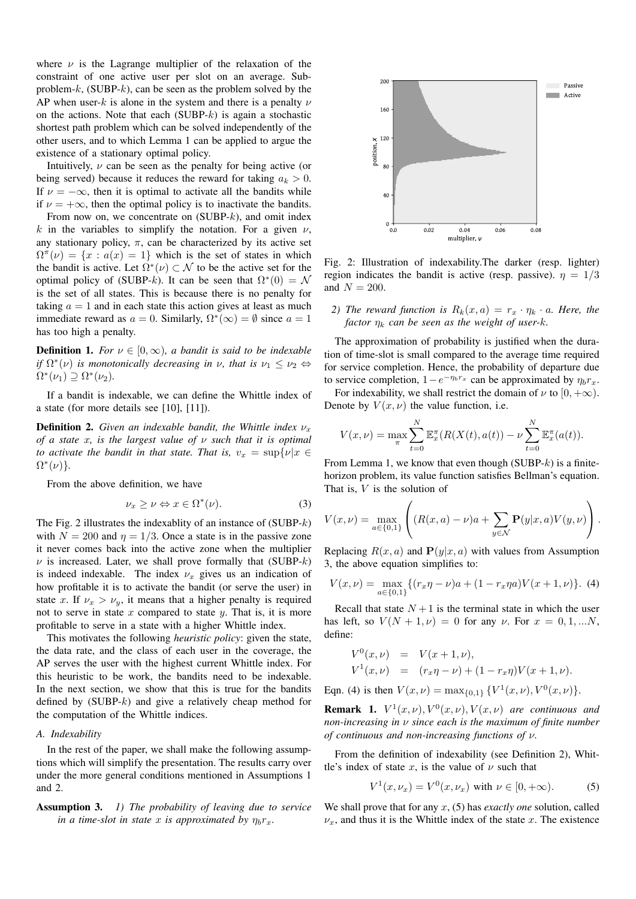where  $\nu$  is the Lagrange multiplier of the relaxation of the constraint of one active user per slot on an average. Subproblem-k,  $(SUBP-k)$ , can be seen as the problem solved by the AP when user-k is alone in the system and there is a penalty  $\nu$ on the actions. Note that each  $(SUBP-k)$  is again a stochastic shortest path problem which can be solved independently of the other users, and to which Lemma 1 can be applied to argue the existence of a stationary optimal policy.

Intuitively,  $\nu$  can be seen as the penalty for being active (or being served) because it reduces the reward for taking  $a_k > 0$ . If  $\nu = -\infty$ , then it is optimal to activate all the bandits while if  $\nu = +\infty$ , then the optimal policy is to inactivate the bandits.

From now on, we concentrate on  $(SUBP-k)$ , and omit index k in the variables to simplify the notation. For a given  $\nu$ , any stationary policy,  $\pi$ , can be characterized by its active set  $\Omega^{\pi}(\nu) = \{x : a(x) = 1\}$  which is the set of states in which the bandit is active. Let  $\Omega^*(\nu) \subset \mathcal{N}$  to be the active set for the optimal policy of (SUBP-k). It can be seen that  $\Omega^*(0) = N$ is the set of all states. This is because there is no penalty for taking  $a = 1$  and in each state this action gives at least as much immediate reward as  $a = 0$ . Similarly,  $\Omega^*(\infty) = \emptyset$  since  $a = 1$ has too high a penalty.

**Definition 1.** *For*  $\nu \in [0, \infty)$ , *a bandit is said to be indexable if*  $\Omega^*(\nu)$  *is monotonically decreasing in*  $\nu$ *, that is*  $\nu_1 \leq \nu_2 \Leftrightarrow$  $\Omega^*(\nu_1) \supseteq \Omega^*(\nu_2)$ .

If a bandit is indexable, we can define the Whittle index of a state (for more details see [10], [11]).

**Definition 2.** *Given an indexable bandit, the Whittle index*  $\nu_x$ *of a state* x*, is the largest value of* ν *such that it is optimal to activate the bandit in that state. That is,*  $v_x = \sup\{v | x \in$  $\Omega^*(\nu)$ .

From the above definition, we have

$$
\nu_x \ge \nu \Leftrightarrow x \in \Omega^*(\nu). \tag{3}
$$

The Fig. 2 illustrates the indexablity of an instance of  $(SUBP-k)$ with  $N = 200$  and  $\eta = 1/3$ . Once a state is in the passive zone it never comes back into the active zone when the multiplier  $\nu$  is increased. Later, we shall prove formally that (SUBP-k) is indeed indexable. The index  $\nu_x$  gives us an indication of how profitable it is to activate the bandit (or serve the user) in state x. If  $\nu_x > \nu_y$ , it means that a higher penalty is required not to serve in state  $x$  compared to state  $y$ . That is, it is more profitable to serve in a state with a higher Whittle index.

This motivates the following *heuristic policy*: given the state, the data rate, and the class of each user in the coverage, the AP serves the user with the highest current Whittle index. For this heuristic to be work, the bandits need to be indexable. In the next section, we show that this is true for the bandits defined by  $(SUBP-k)$  and give a relatively cheap method for the computation of the Whittle indices.

## *A. Indexability*

In the rest of the paper, we shall make the following assumptions which will simplify the presentation. The results carry over under the more general conditions mentioned in Assumptions 1 and 2.

Assumption 3. *1) The probability of leaving due to service in a time-slot in state* x *is approximated by*  $\eta_b r_x$ .



Fig. 2: Illustration of indexability.The darker (resp. lighter) region indicates the bandit is active (resp. passive).  $\eta = 1/3$ and  $N = 200$ .

*2) The reward function is*  $R_k(x, a) = r_x \cdot \eta_k \cdot a$ *. Here, the factor*  $\eta_k$  *can be seen as the weight of user-k.* 

The approximation of probability is justified when the duration of time-slot is small compared to the average time required for service completion. Hence, the probability of departure due to service completion,  $1 - e^{-\eta_b r_x}$  can be approximated by  $\eta_b r_x$ .

For indexability, we shall restrict the domain of  $\nu$  to  $[0, +\infty)$ . Denote by  $V(x, \nu)$  the value function, i.e.

$$
V(x,\nu) = \max_{\pi} \sum_{t=0}^{N} \mathbb{E}_x^{\pi}(R(X(t), a(t)) - \nu \sum_{t=0}^{N} \mathbb{E}_x^{\pi}(a(t)).
$$

From Lemma 1, we know that even though  $(SUBP-k)$  is a finitehorizon problem, its value function satisfies Bellman's equation. That is,  $V$  is the solution of

$$
V(x,\nu) = \max_{a \in \{0,1\}} \left( (R(x,a) - \nu)a + \sum_{y \in \mathcal{N}} \mathbf{P}(y|x,a)V(y,\nu) \right).
$$

Replacing  $R(x, a)$  and  $P(y|x, a)$  with values from Assumption 3, the above equation simplifies to:

$$
V(x,\nu) = \max_{a \in \{0,1\}} \{ (r_x \eta - \nu)a + (1 - r_x \eta a) V(x+1,\nu) \}.
$$
 (4)

Recall that state  $N+1$  is the terminal state in which the user has left, so  $V(N + 1, \nu) = 0$  for any  $\nu$ . For  $x = 0, 1, ...N$ , define:

$$
V^{0}(x, \nu) = V(x+1, \nu),
$$
  
\n
$$
V^{1}(x, \nu) = (r_{x}\eta - \nu) + (1 - r_{x}\eta)V(x+1, \nu).
$$

Eqn. (4) is then  $V(x, \nu) = \max_{\{0,1\}} \{V^1(x, \nu), V^0(x, \nu)\}.$ 

**Remark 1.**  $V^1(x,\nu), V^0(x,\nu), V(x,\nu)$  are continuous and *non-increasing in* ν *since each is the maximum of finite number of continuous and non-increasing functions of* ν*.*

From the definition of indexability (see Definition 2), Whittle's index of state x, is the value of  $\nu$  such that

$$
V^{1}(x, \nu_{x}) = V^{0}(x, \nu_{x}) \text{ with } \nu \in [0, +\infty). \tag{5}
$$

We shall prove that for any x, (5) has *exactly one* solution, called  $\nu_x$ , and thus it is the Whittle index of the state x. The existence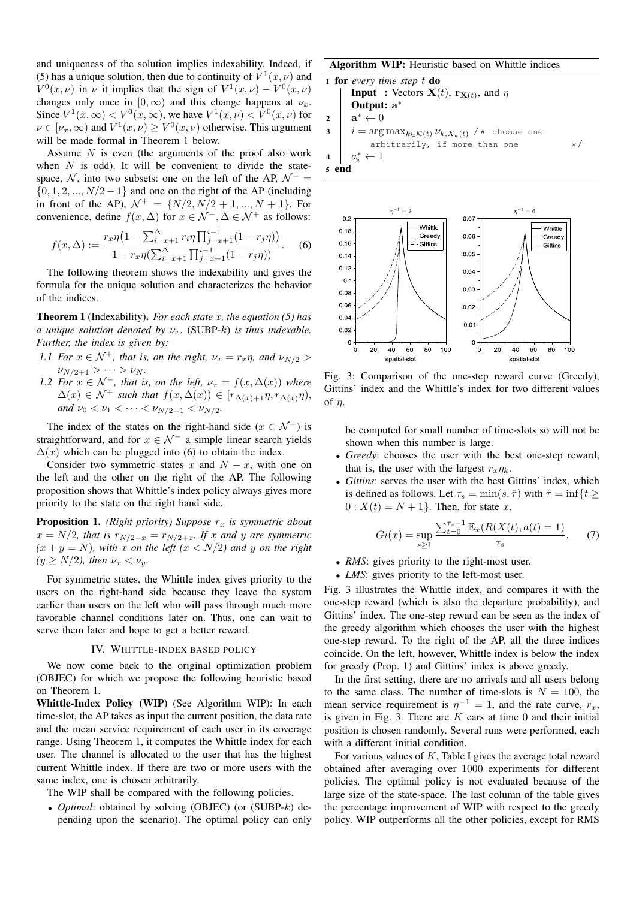and uniqueness of the solution implies indexability. Indeed, if (5) has a unique solution, then due to continuity of  $V^1(x, \nu)$  and  $V^0(x,\nu)$  in  $\nu$  it implies that the sign of  $V^1(x,\nu) - V^0(x,\nu)$ changes only once in  $[0, \infty)$  and this change happens at  $\nu_x$ . Since  $V^1(x,\infty) < V^0(x,\infty)$ , we have  $V^1(x,\nu) < V^0(x,\nu)$  for  $\nu \in [\nu_x, \infty)$  and  $V^1(x, \nu) \geq V^0(x, \nu)$  otherwise. This argument will be made formal in Theorem 1 below.

Assume  $N$  is even (the arguments of the proof also work when  $N$  is odd). It will be convenient to divide the statespace, N, into two subsets: one on the left of the AP,  $\mathcal{N}^-$  =  $\{0, 1, 2, \ldots, N/2 - 1\}$  and one on the right of the AP (including in front of the AP),  $\mathcal{N}^+ = \{N/2, N/2 + 1, ..., N + 1\}$ . For convenience, define  $f(x, \Delta)$  for  $x \in \mathcal{N}^-$ ,  $\Delta \in \mathcal{N}^+$  as follows:

$$
f(x,\Delta) := \frac{r_x \eta \left(1 - \sum_{i=x+1}^{\Delta} r_i \eta \prod_{j=x+1}^{i-1} (1 - r_j \eta) \right)}{1 - r_x \eta \left(\sum_{i=x+1}^{\Delta} \prod_{j=x+1}^{i-1} (1 - r_j \eta) \right)}.
$$
 (6)

The following theorem shows the indexability and gives the formula for the unique solution and characterizes the behavior of the indices.

Theorem 1 (Indexability). *For each state* x*, the equation (5) has a unique solution denoted by*  $\nu_x$ . (SUBP-k) *is thus indexable. Further, the index is given by:*

- *1.1 For*  $x \in \mathcal{N}^+$ *, that is, on the right,*  $\nu_x = r_x \eta$ *, and*  $\nu_{N/2}$  $\nu_{N/2+1} > \cdots > \nu_N$ .
- *1.2 For*  $x \in \mathcal{N}^-$ , that is, on the left,  $\nu_x = f(x, \Delta(x))$  where  $\Delta(x) \in \mathcal{N}^+$  *such that*  $f(x, \Delta(x)) \in [r_{\Delta(x)+1}\eta, r_{\Delta(x)}\eta)$ , *and*  $\nu_0 < \nu_1 < \cdots < \nu_{N/2-1} < \nu_{N/2}$ .

The index of the states on the right-hand side ( $x \in \mathcal{N}^+$ ) is straightforward, and for  $x \in \mathcal{N}^-$  a simple linear search yields  $\Delta(x)$  which can be plugged into (6) to obtain the index.

Consider two symmetric states x and  $N - x$ , with one on the left and the other on the right of the AP. The following proposition shows that Whittle's index policy always gives more priority to the state on the right hand side.

**Proposition 1.** *(Right priority)* Suppose  $r_x$  *is symmetric about*  $x = N/2$ , that is  $r_{N/2-x} = r_{N/2+x}$ . If x and y are symmetric  $(x + y = N)$ *, with* x *on the left*  $(x < N/2)$  *and* y *on the right*  $(y \ge N/2)$ *, then*  $\nu_x < \nu_y$ *.* 

For symmetric states, the Whittle index gives priority to the users on the right-hand side because they leave the system earlier than users on the left who will pass through much more favorable channel conditions later on. Thus, one can wait to serve them later and hope to get a better reward.

## IV. WHITTLE-INDEX BASED POLICY

We now come back to the original optimization problem (OBJEC) for which we propose the following heuristic based on Theorem 1.

Whittle-Index Policy (WIP) (See Algorithm WIP): In each time-slot, the AP takes as input the current position, the data rate and the mean service requirement of each user in its coverage range. Using Theorem 1, it computes the Whittle index for each user. The channel is allocated to the user that has the highest current Whittle index. If there are two or more users with the same index, one is chosen arbitrarily.

The WIP shall be compared with the following policies.

• *Optimal*: obtained by solving (OBJEC) (or (SUBP-k) depending upon the scenario). The optimal policy can only

Algorithm WIP: Heuristic based on Whittle indices

1 for every time step *t* do  
\nInput : Vectors 
$$
X(t)
$$
,  $r_{X(t)}$ , and  $\eta$   
\nOutput:  $a^*$   
\n
$$
a^* \leftarrow 0
$$
\n $i = \arg \max_{k \in K(t)} \nu_{k,X_k(t)} / * \text{ choose one arbitrarily, if more than one}$ \n
$$
a_i^* \leftarrow 1
$$
\n5 end



Fig. 3: Comparison of the one-step reward curve (Greedy), Gittins' index and the Whittle's index for two different values of  $n$ .

be computed for small number of time-slots so will not be shown when this number is large.

- *Greedy*: chooses the user with the best one-step reward, that is, the user with the largest  $r_{x}\eta_{k}$ .
- *Gittins*: serves the user with the best Gittins' index, which is defined as follows. Let  $\tau_s = \min(s, \hat{\tau})$  with  $\hat{\tau} = \inf\{t \geq \tau_s\}$  $0: X(t) = N + 1$ . Then, for state x,

$$
Gi(x) = \sup_{s \ge 1} \frac{\sum_{t=0}^{\tau_s - 1} \mathbb{E}_x(R(X(t), a(t) = 1)}{\tau_s}.
$$
 (7)

- *RMS*: gives priority to the right-most user.
- *LMS*: gives priority to the left-most user.

Fig. 3 illustrates the Whittle index, and compares it with the one-step reward (which is also the departure probability), and Gittins' index. The one-step reward can be seen as the index of the greedy algorithm which chooses the user with the highest one-step reward. To the right of the AP, all the three indices coincide. On the left, however, Whittle index is below the index for greedy (Prop. 1) and Gittins' index is above greedy.

In the first setting, there are no arrivals and all users belong to the same class. The number of time-slots is  $N = 100$ , the mean service requirement is  $\eta^{-1} = 1$ , and the rate curve,  $r_x$ , is given in Fig. 3. There are  $K$  cars at time 0 and their initial position is chosen randomly. Several runs were performed, each with a different initial condition.

For various values of  $K$ , Table I gives the average total reward obtained after averaging over 1000 experiments for different policies. The optimal policy is not evaluated because of the large size of the state-space. The last column of the table gives the percentage improvement of WIP with respect to the greedy policy. WIP outperforms all the other policies, except for RMS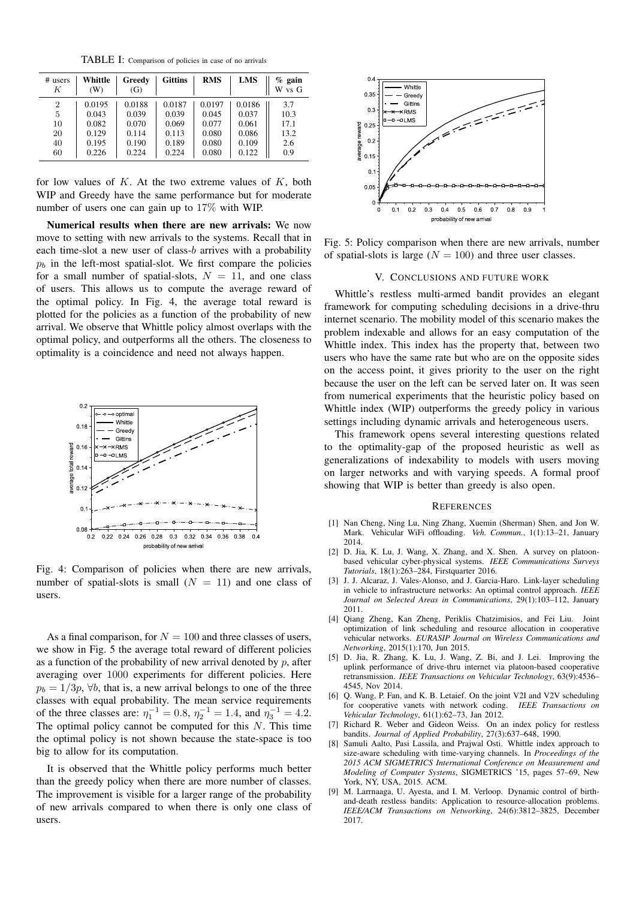TABLE I: Comparison of policies in case of no arrivals

| # users<br>Κ   | Whittle<br>(W) | Greedy<br>(G) | <b>Gittins</b> | <b>RMS</b> | <b>LMS</b> | $\%$<br>gain<br>W vs G |
|----------------|----------------|---------------|----------------|------------|------------|------------------------|
| $\overline{2}$ | 0.0195         | 0.0188        | 0.0187         | 0.0197     | 0.0186     | 3.7                    |
| 5              | 0.043          | 0.039         | 0.039          | 0.045      | 0.037      | 10.3                   |
| 10             | 0.082          | 0.070         | 0.069          | 0.077      | 0.061      | 17.1                   |
| 20             | 0.129          | 0.114         | 0.113          | 0.080      | 0.086      | 13.2                   |
| 40             | 0.195          | 0.190         | 0.189          | 0.080      | 0.109      | 2.6                    |
| 60             | 0.226          | 0.224         | 0.224          | 0.080      | 0.122      | 0.9                    |

for low values of  $K$ . At the two extreme values of  $K$ , both WIP and Greedy have the same performance but for moderate number of users one can gain up to 17% with WIP.

Numerical results when there are new arrivals: We now move to setting with new arrivals to the systems. Recall that in each time-slot a new user of class-b arrives with a probability  $p<sub>b</sub>$  in the left-most spatial-slot. We first compare the policies for a small number of spatial-slots,  $N = 11$ , and one class of users. This allows us to compute the average reward of the optimal policy. In Fig. 4, the average total reward is plotted for the policies as a function of the probability of new arrival. We observe that Whittle policy almost overlaps with the optimal policy, and outperforms all the others. The closeness to optimality is a coincidence and need not always happen.



Fig. 4: Comparison of policies when there are new arrivals, number of spatial-slots is small  $(N = 11)$  and one class of users.

As a final comparison, for  $N = 100$  and three classes of users, we show in Fig. 5 the average total reward of different policies as a function of the probability of new arrival denoted by  $p$ , after averaging over 1000 experiments for different policies. Here  $p_b = 1/3p$ ,  $\forall b$ , that is, a new arrival belongs to one of the three classes with equal probability. The mean service requirements of the three classes are:  $\eta_1^{-1} = 0.8$ ,  $\eta_2^{-1} = 1.4$ , and  $\eta_3^{-1} = 4.2$ . The optimal policy cannot be computed for this  $N$ . This time the optimal policy is not shown because the state-space is too big to allow for its computation.

It is observed that the Whittle policy performs much better than the greedy policy when there are more number of classes. The improvement is visible for a larger range of the probability of new arrivals compared to when there is only one class of users.



Fig. 5: Policy comparison when there are new arrivals, number of spatial-slots is large  $(N = 100)$  and three user classes.

#### V. CONCLUSIONS AND FUTURE WORK

Whittle's restless multi-armed bandit provides an elegant framework for computing scheduling decisions in a drive-thru internet scenario. The mobility model of this scenario makes the problem indexable and allows for an easy computation of the Whittle index. This index has the property that, between two users who have the same rate but who are on the opposite sides on the access point, it gives priority to the user on the right because the user on the left can be served later on. It was seen from numerical experiments that the heuristic policy based on Whittle index (WIP) outperforms the greedy policy in various settings including dynamic arrivals and heterogeneous users.

This framework opens several interesting questions related to the optimality-gap of the proposed heuristic as well as generalizations of indexability to models with users moving on larger networks and with varying speeds. A formal proof showing that WIP is better than greedy is also open.

#### **REFERENCES**

- [1] Nan Cheng, Ning Lu, Ning Zhang, Xuemin (Sherman) Shen, and Jon W. Mark. Vehicular WiFi offloading. *Veh. Commun.*, 1(1):13–21, January 2014.
- [2] D. Jia, K. Lu, J. Wang, X. Zhang, and X. Shen. A survey on platoonbased vehicular cyber-physical systems. *IEEE Communications Surveys Tutorials*, 18(1):263–284, Firstquarter 2016.
- [3] J. J. Alcaraz, J. Vales-Alonso, and J. Garcia-Haro. Link-layer scheduling in vehicle to infrastructure networks: An optimal control approach. *IEEE Journal on Selected Areas in Communications*, 29(1):103–112, January 2011.
- [4] Qiang Zheng, Kan Zheng, Periklis Chatzimisios, and Fei Liu. Joint optimization of link scheduling and resource allocation in cooperative vehicular networks. *EURASIP Journal on Wireless Communications and Networking*, 2015(1):170, Jun 2015.
- [5] D. Jia, R. Zhang, K. Lu, J. Wang, Z. Bi, and J. Lei. Improving the uplink performance of drive-thru internet via platoon-based cooperative retransmission. *IEEE Transactions on Vehicular Technology*, 63(9):4536– 4545, Nov 2014.
- [6] Q. Wang, P. Fan, and K. B. Letaief. On the joint V2I and V2V scheduling for cooperative vanets with network coding. *IEEE Transactions on Vehicular Technology*, 61(1):62–73, Jan 2012.
- [7] Richard R. Weber and Gideon Weiss. On an index policy for restless bandits. *Journal of Applied Probability*, 27(3):637–648, 1990.
- [8] Samuli Aalto, Pasi Lassila, and Prajwal Osti. Whittle index approach to size-aware scheduling with time-varying channels. In *Proceedings of the 2015 ACM SIGMETRICS International Conference on Measurement and Modeling of Computer Systems*, SIGMETRICS '15, pages 57–69, New York, NY, USA, 2015. ACM.
- [9] M. Larrnaaga, U. Ayesta, and I. M. Verloop. Dynamic control of birthand-death restless bandits: Application to resource-allocation problems. *IEEE/ACM Transactions on Networking*, 24(6):3812–3825, December 2017.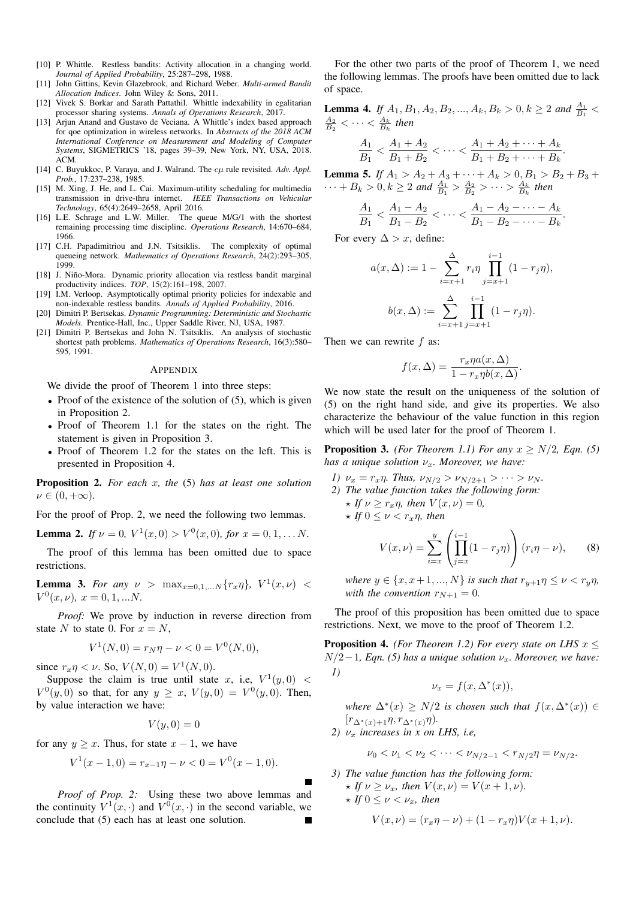- [10] P. Whittle. Restless bandits: Activity allocation in a changing world. *Journal of Applied Probability*, 25:287–298, 1988.
- [11] John Gittins, Kevin Glazebrook, and Richard Weber. *Multi-armed Bandit Allocation Indices*. John Wiley & Sons, 2011.
- [12] Vivek S. Borkar and Sarath Pattathil. Whittle indexability in egalitarian processor sharing systems. *Annals of Operations Research*, 2017.
- [13] Arjun Anand and Gustavo de Veciana. A Whittle's index based approach for qoe optimization in wireless networks. In *Abstracts of the 2018 ACM International Conference on Measurement and Modeling of Computer Systems*, SIGMETRICS '18, pages 39–39, New York, NY, USA, 2018. ACM.
- [14] C. Buyukkoc, P. Varaya, and J. Walrand. The  $c\mu$  rule revisited. Adv. Appl. *Prob.*, 17:237–238, 1985.
- [15] M. Xing, J. He, and L. Cai. Maximum-utility scheduling for multimedia transmission in drive-thru internet. *IEEE Transactions on Vehicular Technology*, 65(4):2649–2658, April 2016.
- [16] L.E. Schrage and L.W. Miller. The queue M/G/1 with the shortest remaining processing time discipline. *Operations Research*, 14:670–684, 1966.
- [17] C.H. Papadimitriou and J.N. Tsitsiklis. The complexity of optimal queueing network. *Mathematics of Operations Research*, 24(2):293–305, 1999.
- [18] J. Niño-Mora. Dynamic priority allocation via restless bandit marginal productivity indices. *TOP*, 15(2):161–198, 2007.
- [19] I.M. Verloop. Asymptotically optimal priority policies for indexable and non-indexable restless bandits. *Annals of Applied Probability*, 2016.
- [20] Dimitri P. Bertsekas. *Dynamic Programming: Deterministic and Stochastic Models*. Prentice-Hall, Inc., Upper Saddle River, NJ, USA, 1987.
- [21] Dimitri P. Bertsekas and John N. Tsitsiklis. An analysis of stochastic shortest path problems. *Mathematics of Operations Research*, 16(3):580– 595, 1991.

#### APPENDIX

We divide the proof of Theorem 1 into three steps:

- Proof of the existence of the solution of (5), which is given in Proposition 2.
- Proof of Theorem 1.1 for the states on the right. The statement is given in Proposition 3.
- Proof of Theorem 1.2 for the states on the left. This is presented in Proposition 4.

Proposition 2. *For each* x*, the* (5) *has at least one solution*  $\nu \in (0, +\infty)$ .

For the proof of Prop. 2, we need the following two lemmas.

**Lemma 2.** If  $\nu = 0$ ,  $V^1(x, 0) > V^0(x, 0)$ , for  $x = 0, 1, \dots N$ .

The proof of this lemma has been omitted due to space restrictions.

**Lemma 3.** *For any*  $\nu > \max_{x=0,1,...N} \{r_x \eta\}$ ,  $V^1(x,\nu) <$  $V^0(x,\nu), x = 0, 1, ...N.$ 

*Proof:* We prove by induction in reverse direction from state N to state 0. For  $x = N$ ,

$$
V^{1}(N,0) = r_{N}\eta - \nu < 0 = V^{0}(N,0),
$$

since  $r_x \eta < \nu$ . So,  $V(N, 0) = V^1(N, 0)$ .

Suppose the claim is true until state x, i.e,  $V^1(y,0)$  <  $V^{0}(y,0)$  so that, for any  $y \geq x$ ,  $V(y,0) = V^{0}(y,0)$ . Then, by value interaction we have:

$$
V(y,0)=0
$$

for any  $y > x$ . Thus, for state  $x - 1$ , we have

$$
V^1(x-1,0) = r_{x-1}\eta - \nu < 0 = V^0(x-1,0).
$$

*Proof of Prop. 2:* Using these two above lemmas and the continuity  $V^1(x, \cdot)$  and  $V^0(x, \cdot)$  in the second variable, we conclude that (5) each has at least one solution.

For the other two parts of the proof of Theorem 1, we need the following lemmas. The proofs have been omitted due to lack of space.

**Lemma 4.** If  $A_1, B_1, A_2, B_2, ..., A_k, B_k > 0, k \ge 2$  and  $\frac{A_1}{B_1}$  <  $\frac{A_2}{B_2}$  <  $\cdots$  <  $\frac{A_k}{B_k}$  then  $A_1$  $\frac{A_1}{B_1} < \frac{A_1 + A_2}{B_1 + B_2}$  $\frac{A_1 + A_2}{B_1 + B_2}$  <  $\cdots$  <  $\frac{A_1 + A_2 + \cdots + A_k}{B_1 + B_2 + \cdots + B_k}$  $\frac{B_1 + B_2 + \cdots + B_k}{B_1 + B_2 + \cdots + B_k}$ .

**Lemma 5.** *If*  $A_1 > A_2 + A_3 + \cdots + A_k > 0, B_1 > B_2 + B_3 +$  $\cdots + B_k > 0, k \ge 2$  and  $\frac{A_1}{B_1} > \frac{A_2}{B_2} > \cdots > \frac{A_k}{B_k}$  then

$$
\frac{A_1}{B_1} < \frac{A_1 - A_2}{B_1 - B_2} < \dots < \frac{A_1 - A_2 - \dots - A_k}{B_1 - B_2 - \dots - B_k}.
$$

For every  $\Delta > x$ , define:

$$
a(x, \Delta) := 1 - \sum_{i=x+1}^{\Delta} r_i \eta \prod_{j=x+1}^{i-1} (1 - r_j \eta),
$$

$$
b(x, \Delta) := \sum_{i=x+1}^{\Delta} \prod_{j=x+1}^{i-1} (1 - r_j \eta).
$$

Then we can rewrite f as:

$$
f(x, \Delta) = \frac{r_x \eta a(x, \Delta)}{1 - r_x \eta b(x, \Delta)}.
$$

We now state the result on the uniqueness of the solution of (5) on the right hand side, and give its properties. We also characterize the behaviour of the value function in this region which will be used later for the proof of Theorem 1.

**Proposition 3.** *(For Theorem 1.1) For any*  $x \ge N/2$ *, Eqn.* (5) *has a unique solution*  $\nu_x$ *. Moreover, we have:* 

- *1)*  $\nu_x = r_x \eta$ . Thus,  $\nu_{N/2} > \nu_{N/2+1} > \cdots > \nu_N$ .
- *2) The value function takes the following form:*  $\star$  *If*  $\nu \geq r_x \eta$ *, then*  $V(x,\nu) = 0$ *,*

$$
\star \text{ If } 0 \le \nu < r_x \eta, \text{ then}
$$

$$
V(x,\nu) = \sum_{i=x}^{y} \left( \prod_{j=x}^{i-1} (1 - r_j \eta) \right) (r_i \eta - \nu), \quad (8)
$$

*where*  $y \in \{x, x+1, ..., N\}$  *is such that*  $r_{y+1}\eta \leq \nu < r_y\eta$ , *with the convention*  $r_{N+1} = 0$ *.* 

The proof of this proposition has been omitted due to space restrictions. Next, we move to the proof of Theorem 1.2.

**Proposition 4.** *(For Theorem 1.2) For every state on LHS*  $x \leq$  $N/2−1$ *, Eqn.* (5) has a unique solution  $\nu_x$ *. Moreover, we have: 1)*

$$
\nu_x = f(x, \Delta^*(x)),
$$

where 
$$
\Delta^*(x) \ge N/2
$$
 is chosen such that  $f(x, \Delta^*(x)) \in [r_{\Delta^*(x)+1}\eta, r_{\Delta^*(x)}\eta)$ .

*2)*  $\nu_x$  *increases in x on LHS, i.e,* 

$$
\nu_0 < \nu_1 < \nu_2 < \cdots < \nu_{N/2-1} < r_{N/2}\eta = \nu_{N/2}.
$$

*3) The value function has the following form:*  $\star$  *If*  $\nu \geq \nu_x$ *, then*  $V(x,\nu) = V(x+1,\nu)$ *.*  $\star$  *If*  $0 \leq \nu < \nu_x$ *, then* 

$$
V(x,\nu) = (r_x \eta - \nu) + (1 - r_x \eta) V(x+1,\nu).
$$